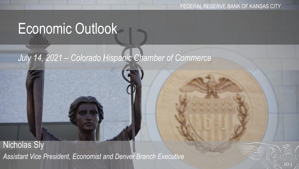# Economic Outlook

#### *July 14, 2021 – Colorado Hispanic Chamber of Commerce*

Nicholas Sly *Assistant Vice President, Economist and Denver Branch Executive*

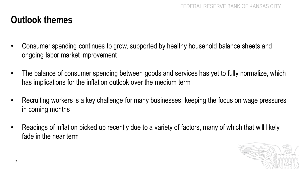#### **Outlook themes**

- Consumer spending continues to grow, supported by healthy household balance sheets and ongoing labor market improvement
- The balance of consumer spending between goods and services has yet to fully normalize, which has implications for the inflation outlook over the medium term
- Recruiting workers is a key challenge for many businesses, keeping the focus on wage pressures in coming months
- Readings of inflation picked up recently due to a variety of factors, many of which that will likely fade in the near term

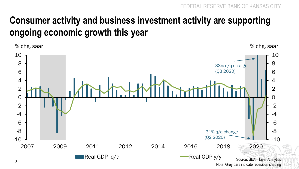#### **Consumer activity and business investment activity are supporting ongoing economic growth this year**

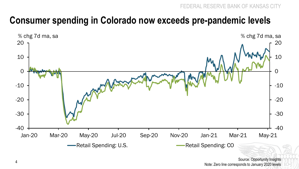#### **Consumer spending in Colorado now exceeds pre-pandemic levels**



Source: Opportunity Insights Note: Zero line corresponds to January 2020 levels <sup>4</sup>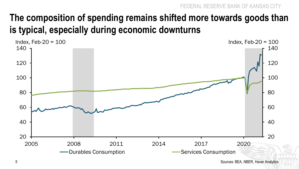### **The composition of spending remains shifted more towards goods than is typical, especially during economic downturns**



Sources: BEA, NBER, Haver Analytics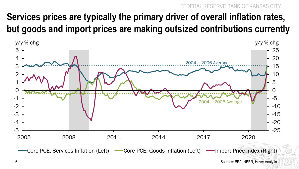#### **RESERVE BANK OF KANSAS CITY**

#### **Services prices are typically the primary driver of overall inflation rates, but goods and import prices are making outsized contributions currently**



6 Sources: BEA, NBER, Haver Analytics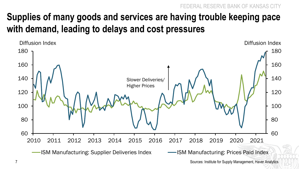FSERVE BANK OF KANSAS

#### **Supplies of many goods and services are having trouble keeping pace with demand, leading to delays and cost pressures**



Sources: Institute for Supply Management, Haver Analytics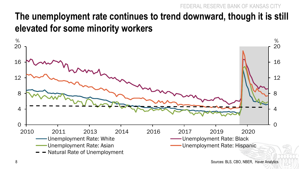#### FEDERAL RESERVE BANK OF KANSAS CITY

#### **The unemployment rate continues to trend downward, though it is still elevated for some minority workers**

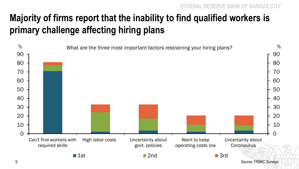## **Majority of firms report that the inability to find qualified workers is primary challenge affecting hiring plans**



Source: FRBKC Surveys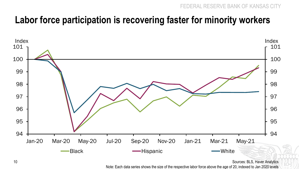#### **Labor force participation is recovering faster for minority workers**



Sources: BLS, Haver Analytics

Note: Each data series shows the size of the respective labor force above the age of 20, indexed to Jan 2020 levels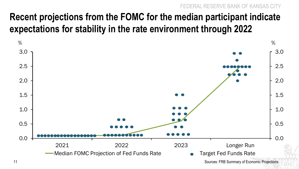### **Recent projections from the FOMC for the median participant indicate expectations for stability in the rate environment through 2022**

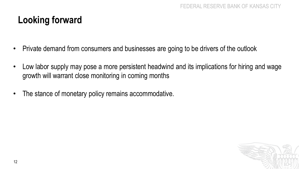#### **Looking forward**

- Private demand from consumers and businesses are going to be drivers of the outlook
- Low labor supply may pose a more persistent headwind and its implications for hiring and wage growth will warrant close monitoring in coming months
- The stance of monetary policy remains accommodative.